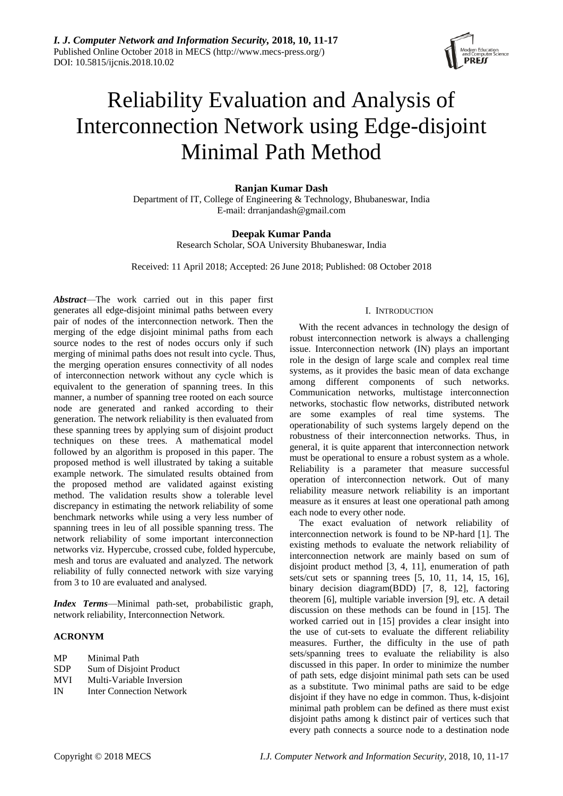

# Reliability Evaluation and Analysis of Interconnection Network using Edge-disjoint Minimal Path Method

# **Ranjan Kumar Dash**

Department of IT, College of Engineering & Technology, Bhubaneswar, India E-mail: drranjandash@gmail.com

# **Deepak Kumar Panda**

Research Scholar, SOA University Bhubaneswar, India

Received: 11 April 2018; Accepted: 26 June 2018; Published: 08 October 2018

*Abstract*—The work carried out in this paper first generates all edge-disjoint minimal paths between every pair of nodes of the interconnection network. Then the merging of the edge disjoint minimal paths from each source nodes to the rest of nodes occurs only if such merging of minimal paths does not result into cycle. Thus, the merging operation ensures connectivity of all nodes of interconnection network without any cycle which is equivalent to the generation of spanning trees. In this manner, a number of spanning tree rooted on each source node are generated and ranked according to their generation. The network reliability is then evaluated from these spanning trees by applying sum of disjoint product techniques on these trees. A mathematical model followed by an algorithm is proposed in this paper. The proposed method is well illustrated by taking a suitable example network. The simulated results obtained from the proposed method are validated against existing method. The validation results show a tolerable level discrepancy in estimating the network reliability of some benchmark networks while using a very less number of spanning trees in leu of all possible spanning tress. The network reliability of some important interconnection networks viz. Hypercube, crossed cube, folded hypercube, mesh and torus are evaluated and analyzed. The network reliability of fully connected network with size varying from 3 to 10 are evaluated and analysed.

*Index Terms*—Minimal path-set, probabilistic graph, network reliability, Interconnection Network.

# **ACRONYM**

| MP         | Minimal Path             |
|------------|--------------------------|
| <b>SDP</b> | Sum of Disjoint Product  |
| MVI        | Multi-Variable Inversion |

- 
- IN Inter Connection Network

# I. INTRODUCTION

With the recent advances in technology the design of robust interconnection network is always a challenging issue. Interconnection network (IN) plays an important role in the design of large scale and complex real time systems, as it provides the basic mean of data exchange among different components of such networks. Communication networks, multistage interconnection networks, stochastic flow networks, distributed network are some examples of real time systems. The operationability of such systems largely depend on the robustness of their interconnection networks. Thus, in general, it is quite apparent that interconnection network must be operational to ensure a robust system as a whole. Reliability is a parameter that measure successful operation of interconnection network. Out of many reliability measure network reliability is an important measure as it ensures at least one operational path among each node to every other node.

The exact evaluation of network reliability of interconnection network is found to be NP-hard [1]. The existing methods to evaluate the network reliability of interconnection network are mainly based on sum of disjoint product method [3, 4, 11], enumeration of path sets/cut sets or spanning trees [5, 10, 11, 14, 15, 16], binary decision diagram(BDD) [7, 8, 12], factoring theorem [6], multiple variable inversion [9], etc. A detail discussion on these methods can be found in [15]. The worked carried out in [15] provides a clear insight into the use of cut-sets to evaluate the different reliability measures. Further, the difficulty in the use of path sets/spanning trees to evaluate the reliability is also discussed in this paper. In order to minimize the number of path sets, edge disjoint minimal path sets can be used as a substitute. Two minimal paths are said to be edge disjoint if they have no edge in common. Thus, k-disjoint minimal path problem can be defined as there must exist disjoint paths among k distinct pair of vertices such that every path connects a source node to a destination node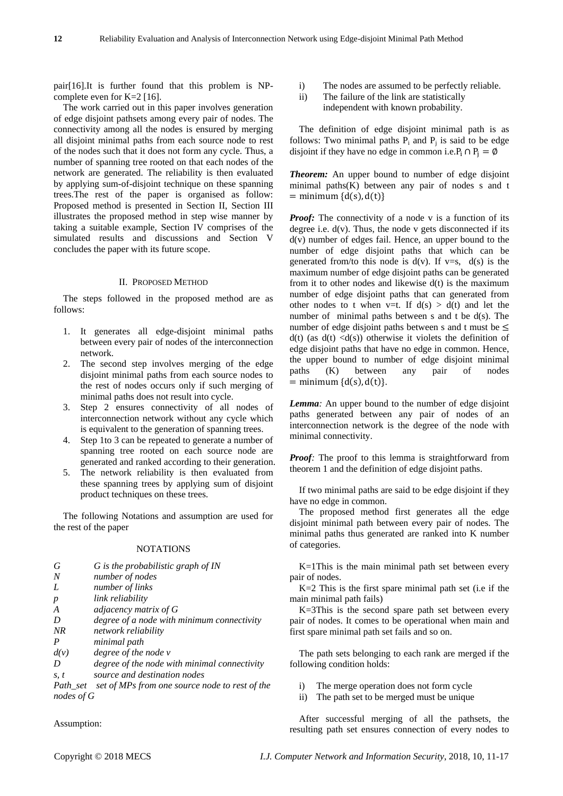pair[16].It is further found that this problem is NPcomplete even for K=2 [16].

The work carried out in this paper involves generation of edge disjoint pathsets among every pair of nodes. The connectivity among all the nodes is ensured by merging all disjoint minimal paths from each source node to rest of the nodes such that it does not form any cycle. Thus, a number of spanning tree rooted on that each nodes of the network are generated. The reliability is then evaluated by applying sum-of-disjoint technique on these spanning trees.The rest of the paper is organised as follow: Proposed method is presented in Section II, Section III illustrates the proposed method in step wise manner by taking a suitable example, Section IV comprises of the simulated results and discussions and Section V concludes the paper with its future scope.

## II. PROPOSED METHOD

The steps followed in the proposed method are as follows:

- 1. It generates all edge-disjoint minimal paths between every pair of nodes of the interconnection network.
- 2. The second step involves merging of the edge disjoint minimal paths from each source nodes to the rest of nodes occurs only if such merging of minimal paths does not result into cycle.
- 3. Step 2 ensures connectivity of all nodes of interconnection network without any cycle which is equivalent to the generation of spanning trees.
- 4. Step 1to 3 can be repeated to generate a number of spanning tree rooted on each source node are generated and ranked according to their generation.
- 5. The network reliability is then evaluated from these spanning trees by applying sum of disjoint product techniques on these trees.

The following Notations and assumption are used for the rest of the paper

### NOTATIONS

- *G G is the probabilistic graph of IN*
- *N number of nodes*
- *L number of links*

| р    | link reliability                             |
|------|----------------------------------------------|
| A    | adjacency matrix of $G$                      |
| D    | degree of a node with minimum connectivity   |
| NR   | network reliability                          |
| P    | minimal path                                 |
| d(v) | degree of the node v                         |
| D    | degree of the node with minimal connectivity |
|      |                                              |

*s, t source and destination nodes*

*Path\_set set of MPs from one source node to rest of the nodes of G*

i) The nodes are assumed to be perfectly reliable.

ii) The failure of the link are statistically independent with known probability.

The definition of edge disjoint minimal path is as follows: Two minimal paths  $P_i$  and  $P_j$  is said to be edge disjoint if they have no edge in common i.e.P<sub>i</sub>  $\cap$  P<sub>i</sub> =  $\emptyset$ 

*Theorem:* An upper bound to number of edge disjoint minimal paths $(K)$  between any pair of nodes s and t  $=$  minimum  $\{d(s), d(t)\}\)$ 

*Proof:* The connectivity of a node v is a function of its degree i.e.  $d(v)$ . Thus, the node v gets disconnected if its d(v) number of edges fail. Hence, an upper bound to the number of edge disjoint paths that which can be generated from/to this node is  $d(v)$ . If  $v=s$ ,  $d(s)$  is the maximum number of edge disjoint paths can be generated from it to other nodes and likewise  $d(t)$  is the maximum number of edge disjoint paths that can generated from other nodes to t when v=t. If  $d(s) > d(t)$  and let the number of minimal paths between s and t be d(s). The number of edge disjoint paths between s and t must be  $\leq$  $d(t)$  (as  $d(t)$  <d(s)) otherwise it violets the definition of edge disjoint paths that have no edge in common. Hence, the upper bound to number of edge disjoint minimal paths (K) between any pair of nodes  $=$  minimum  $\{d(s), d(t)\}.$ 

*Lemma:* An upper bound to the number of edge disjoint paths generated between any pair of nodes of an interconnection network is the degree of the node with minimal connectivity.

*Proof:* The proof to this lemma is straightforward from theorem 1 and the definition of edge disjoint paths.

If two minimal paths are said to be edge disjoint if they have no edge in common.

The proposed method first generates all the edge disjoint minimal path between every pair of nodes. The minimal paths thus generated are ranked into K number of categories.

K=1This is the main minimal path set between every pair of nodes.

 $K=2$  This is the first spare minimal path set (i.e if the main minimal path fails)

K=3This is the second spare path set between every pair of nodes. It comes to be operational when main and first spare minimal path set fails and so on.

The path sets belonging to each rank are merged if the following condition holds:

- i) The merge operation does not form cycle
- ii) The path set to be merged must be unique

After successful merging of all the pathsets, the resulting path set ensures connection of every nodes to

Assumption: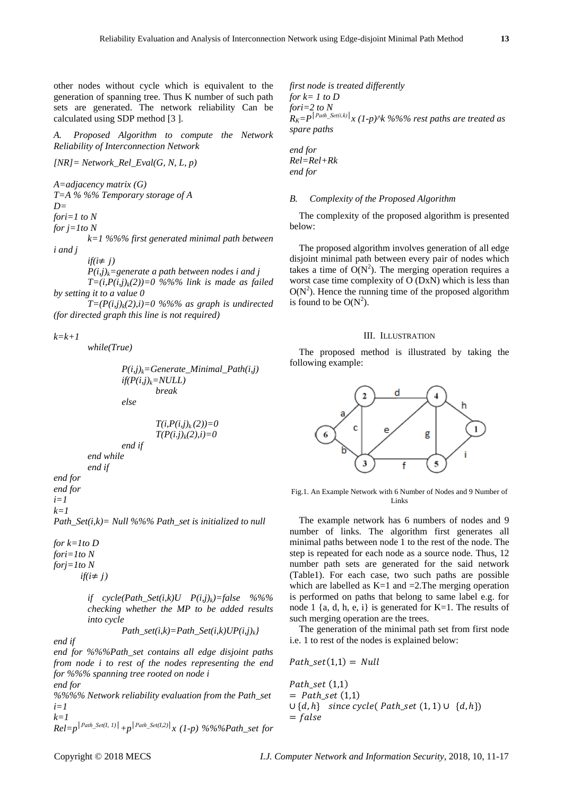other nodes without cycle which is equivalent to the generation of spanning tree. Thus K number of such path sets are generated. The network reliability Can be calculated using SDP method [3 ].

*A. Proposed Algorithm to compute the Network Reliability of Interconnection Network*

*[NR]= Network\_Rel\_Eval(G, N, L, p)*

*A=adjacency matrix (G)*

*T=A % %% Temporary storage of A* 

*D=*

*fori=1 to N*

*for j=1to N*

*k=1 %%% first generated minimal path between i and j* 

*if*( $i ≠ j$ )

*P(i,j)k=generate a path between nodes i and j T*=(*i*, $P(i,j)_{k}(2)$ )=0 %%% link is made as failed *by setting it to a value 0*

*T*= $(P(i,j)_{k}(2), i)=0$  %%% as graph is undirected *(for directed graph this line is not required)*

*k=k+1*

*while(True)*

```
P(i,j)k=Generate_Minimal_Path(i,j)
if(P(i,j)k=NULL)
        break
else
```

$$
T(i, P(i,j)_k(2))=0
$$
  

$$
T(P(i,j)_k(2), i)=0
$$

*end while end if*

*end for end for i=1*

*k=1 Path\_Set(i,k)= Null %%% Path\_set is initialized to null*

*end if*

*for k=1to D fori=1to N forj=1to N*  $if(i \neq j)$ 

> *if*  $cycle(Path\_Set(i,k)U$   $P(i,j)_k$ *)*=false %%% *checking whether the MP to be added results into cycle*

$$
Path\_set(i,k) = Path\_Set(i,k)UP(i,j)_k\}
$$

*end for %%%Path\_set contains all edge disjoint paths from node i to rest of the nodes representing the end for %%% spanning tree rooted on node i*

*end for*

*end if*

*%%%% Network reliability evaluation from the Path\_set i=1 k=1*

$$
\sum_{Rel=p}^{k-1} |P^{ath\_Set(I, I)}| + p^{|Path\_Set(I, 2)|} x (1-p) %% @{Path\_set} for
$$

*first node is treated differently for k= 1 to D fori=2 to N*  $\int R_K = P^{|Path\_Set(i,k)|} x (1-p)^k k \%$ %% rest paths are treated as *spare paths*

*end for Rel=Rel+Rk end for* 

#### *B. Complexity of the Proposed Algorithm*

The complexity of the proposed algorithm is presented below:

The proposed algorithm involves generation of all edge disjoint minimal path between every pair of nodes which takes a time of  $O(N^2)$ . The merging operation requires a worst case time complexity of O (DxN) which is less than  $O(N<sup>2</sup>)$ . Hence the running time of the proposed algorithm is found to be  $O(N^2)$ .

## III. ILLUSTRATION

The proposed method is illustrated by taking the following example:



Fig.1. An Example Network with 6 Number of Nodes and 9 Number of Links

The example network has 6 numbers of nodes and 9 number of links. The algorithm first generates all minimal paths between node 1 to the rest of the node. The step is repeated for each node as a source node. Thus, 12 number path sets are generated for the said network (Table1). For each case, two such paths are possible which are labelled as  $K=1$  and  $=2$ . The merging operation is performed on paths that belong to same label e.g. for node 1 {a, d, h, e, i} is generated for  $K=1$ . The results of such merging operation are the trees.

The generation of the minimal path set from first node i.e. 1 to rest of the nodes is explained below:

$$
Path\_set(1,1) = Null
$$

Path\_set  $(1,1)$  $=$  Path\_set  $(1,1)$  $∪ {d, h}$  since cycle(Path\_set (1, 1) ∪  ${d, h}$ )  $= false$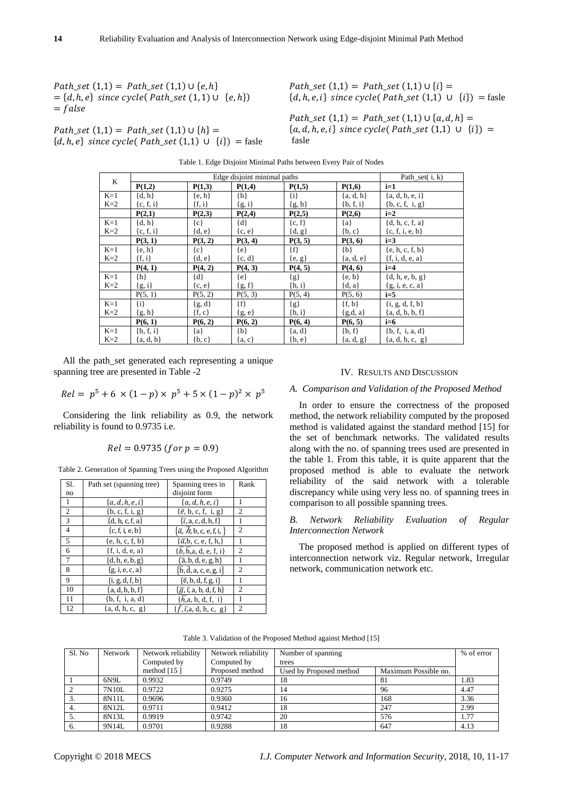$Path\_set(1,1) = Path\_set(1,1) \cup \{e,h\}$  $= \{d, h, e\}$  since cycle(Path\_set  $(1, 1) \cup \{e, h\}$ )  $= false$ 

 $Path set (1,1) = Path set (1,1) \cup \{h\} =$  ${d, h, e}$  since cycle( Path\_set (1,1)  $\cup$   $\{i\}$ ) = fasle  $Path\_set(1,1) = Path\_set(1,1) \cup \{i\} =$  ${d, h, e, i}$  since cycle( Path\_set (1,1)  $\cup$  {i}) = fasle

 $Path\_set(1,1) = Path\_set(1,1) \cup \{a, d, h\} =$  ${a, d, h, e, i}$  since cycle( Path\_set (1,1)  $\cup$  {i}) = fasle

| K     |               | Path_set $(i, k)$ |            |            |             |                     |
|-------|---------------|-------------------|------------|------------|-------------|---------------------|
|       | P(1,2)        | P(1,3)            | P(1,4)     | P(1,5)     | P(1,6)      | $i=1$               |
| $K=1$ | $\{d, h\}$    | $\{e, h\}$        | $\{h\}$    | $\{i\}$    | ${a, d, h}$ | ${a, d, h, e, i}$   |
| $K=2$ | ${c, f, i}$   | $\{f, i\}$        | ${g, i}$   | ${g, h}$   | ${b, f, i}$ | ${b, c, f, i, g}$   |
|       | P(2,1)        | P(2,3)            | P(2,4)     | P(2,5)     | P(2,6)      | $i=2$               |
| $K=1$ | $\{d, h\}$    | $\{c\}$           | $\{d\}$    | ${c, f}$   | ${a}$       | ${d, h, c, f, a}$   |
| $K=2$ | ${c, f, i}$   | $\{d, e\}$        | $\{c, e\}$ | $\{d, g\}$ | $\{b, c\}$  | ${c, f, i, e, b}$   |
|       | P(3, 1)       | P(3, 2)           | P(3, 4)    | P(3, 5)    | P(3, 6)     | $i=3$               |
| $K=1$ | $\{e, h\}$    | $\{c\}$           | $\{e\}$    | $\{f\}$    | $\{b\}$     | ${e, h, c, f, b}$   |
| $K=2$ | $\{f, i\}$    | $\{d, e\}$        | $\{c, d\}$ | ${e, g}$   | ${a, d, e}$ | $\{f, i, d, e, a\}$ |
|       | P(4, 1)       | P(4, 2)           | P(4, 3)    | P(4, 5)    | P(4, 6)     | $i=4$               |
| $K=1$ | $\{h\}$       | $\{d\}$           | $\{e\}$    | ${g}$      | $\{e, b\}$  | $\{d, h, e, b, g\}$ |
| $K=2$ | ${g, i}$      | $\{c, e\}$        | ${g, f}$   | $\{h, i\}$ | $\{d, a\}$  | ${g, i, e, c, a}$   |
|       | P(5, 1)       | P(5, 2)           | P(5, 3)    | P(5, 4)    | P(5, 6)     | $i=5$               |
| $K=1$ | $\{i\}$       | ${g, d}$          | $\{f\}$    | ${g}$      | $\{f, b\}$  | $\{i, g, d, f, b\}$ |
| $K=2$ | ${g, h}$      | $\{f, c\}$        | ${g, e}$   | $\{h, i\}$ | ${g,d,a}$   | ${a, d, h, b, f}$   |
|       | P(6, 1)       | P(6, 2)           | P(6, 2)    | P(6, 4)    | P(6, 5)     | $i=6$               |
| $K=1$ | $\{b, f, i\}$ | ${a}$             | $\{b\}$    | ${a, d}$   | $\{b, f\}$  | ${b, f, i, a, d}$   |
| $K=2$ | ${a, d, h}$   | $\{b, c\}$        | $\{a, c\}$ | ${b, e}$   | ${a, d, g}$ | ${a, d, h, c, g}$   |

Table 1. Edge Disjoint Minimal Paths between Every Pair of Nodes

All the path set generated each representing a unique spanning tree are presented in Table -2

$$
Rel = p5 + 6 \times (1 - p) \times p5 + 5 \times (1 - p)2 \times p5
$$

Considering the link reliability as 0.9, the network reliability is found to 0.9735 i.e.

$$
Rel = 0.9735
$$
 (for  $p = 0.9$ )

Table 2. Generation of Spanning Trees using the Proposed Algorithm

| S1.             | Path set (spanning tree) | Spanning trees in                                                                              | Rank |
|-----------------|--------------------------|------------------------------------------------------------------------------------------------|------|
| no              |                          | disjoint form                                                                                  |      |
| -1              | ${a,d,h,e,i}$            | ${a,d,h,e,i}$                                                                                  |      |
| 2               | $\{b, c, f, i, g\}$      | $\{\bar{e}, \bar{b}, \bar{c}, \bar{f}, \bar{i}, \bar{g}\}$                                     | 2    |
| $\overline{3}$  | ${d, h, c, f, a}$        | $\{\bar{\iota}, a, c, d, h, f\}$                                                               |      |
| $\overline{4}$  | $\{c, f, i, e, b\}$      | $\{\bar{a}, \bar{h}, b, c, e, f, i, \}$                                                        | 2    |
| $\overline{5}$  | $\{e, h, c, f, b\}$      | $\{\bar{\alpha},\bar{b},\bar{c},\bar{e},\bar{f},\bar{h},\}$                                    |      |
| 6               | $\{f, i, d, e, a\}$      | ${b, h,a, d, e, f, i}$                                                                         | 2    |
| $7\phantom{.0}$ | $\{d, h, e, b, g\}$      | $\{\overline{a}, b, d, e, g, h\}$                                                              |      |
| 8               | ${g, i, e, c, a}$        | $\{\bar{\mathsf{b}},\bar{\mathsf{d}},\mathsf{a},\mathsf{c},\mathsf{e},\mathsf{g},\mathsf{i}\}$ | 2    |
| 9               | $\{i, g, d, f, b\}$      | $\{\bar{e}, b, d, f, g, i\}$                                                                   |      |
| 10              | {a, d, h, b, f}          | $\{\bar{g}, \bar{t}, a, b, d, f, h\}$                                                          | 2    |
| 11              | ${b, f, i, a, d}$        | $\{h, a, b, d, f, i\}$                                                                         |      |
| 12              | ${a, d, h, c, g}$        | $\{f,\overline{t},a, d, h, c, g\}$                                                             | 2    |

# IV. RESULTS AND DISCUSSION

### *A. Comparison and Validation of the Proposed Method*

In order to ensure the correctness of the proposed method, the network reliability computed by the proposed method is validated against the standard method [15] for the set of benchmark networks. The validated results along with the no. of spanning trees used are presented in the table 1. From this table, it is quite apparent that the proposed method is able to evaluate the network reliability of the said network with a tolerable discrepancy while using very less no. of spanning trees in comparison to all possible spanning trees.

## *B. Network Reliability Evaluation of Regular Interconnection Network*

The proposed method is applied on different types of interconnection network viz. Regular network, Irregular network, communication network etc.

| Sl. No | <b>Network</b> | Network reliability | Network reliability | Number of spanning      | % of error           |      |
|--------|----------------|---------------------|---------------------|-------------------------|----------------------|------|
|        |                | Computed by         | Computed by         | trees                   |                      |      |
|        |                | method $[15]$       | Proposed method     | Used by Proposed method | Maximum Possible no. |      |
|        | 6N9L           | 0.9932              | 0.9749              | 18                      | 81                   | 1.83 |
|        | 7N10L          | 0.9722              | 0.9275              | 14                      | 96                   | 4.47 |
|        | 8N11L          | 0.9696              | 0.9360              | 16                      | 168                  | 3.36 |
|        | 8N12L          | 0.9711              | 0.9412              | 18                      | 247                  | 2.99 |
|        | 8N13L          | 0.9919              | 0.9742              | 20                      | 576                  | 1.77 |
| 6.     | 9N14L          | 0.9701              | 0.9288              | 18                      | 647                  | 4.13 |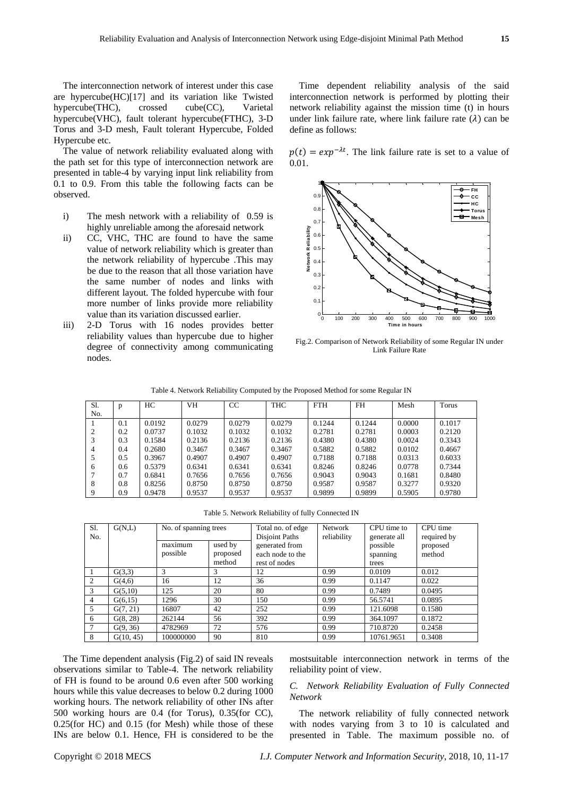The value of network reliability evaluated along with the path set for this type of interconnection network are presented in table-4 by varying input link reliability from 0.1 to 0.9. From this table the following facts can be observed.

- i) The mesh network with a reliability of 0.59 is highly unreliable among the aforesaid network
- ii) CC, VHC, THC are found to have the same value of network reliability which is greater than the network reliability of hypercube .This may be due to the reason that all those variation have the same number of nodes and links with different layout. The folded hypercube with four more number of links provide more reliability value than its variation discussed earlier.
- iii) 2-D Torus with 16 nodes provides better reliability values than hypercube due to higher degree of connectivity among communicating nodes.

Time dependent reliability analysis of the said interconnection network is performed by plotting their network reliability against the mission time (t) in hours under link failure rate, where link failure rate  $(\lambda)$  can be define as follows:

 $p(t) = exp^{-\lambda t}$ . The link failure rate is set to a value of 0.01.



Fig.2. Comparison of Network Reliability of some Regular IN under Link Failure Rate

Table 4. Network Reliability Computed by the Proposed Method for some Regular IN

| Sl. | p   | HC     | VH     | CC     | <b>THC</b> | <b>FTH</b> | <b>FH</b> | Mesh   | Torus  |
|-----|-----|--------|--------|--------|------------|------------|-----------|--------|--------|
| No. |     |        |        |        |            |            |           |        |        |
|     | 0.1 | 0.0192 | 0.0279 | 0.0279 | 0.0279     | 0.1244     | 0.1244    | 0.0000 | 0.1017 |
| 2   | 0.2 | 0.0737 | 0.1032 | 0.1032 | 0.1032     | 0.2781     | 0.2781    | 0.0003 | 0.2120 |
|     | 0.3 | 0.1584 | 0.2136 | 0.2136 | 0.2136     | 0.4380     | 0.4380    | 0.0024 | 0.3343 |
| 4   | 0.4 | 0.2680 | 0.3467 | 0.3467 | 0.3467     | 0.5882     | 0.5882    | 0.0102 | 0.4667 |
|     | 0.5 | 0.3967 | 0.4907 | 0.4907 | 0.4907     | 0.7188     | 0.7188    | 0.0313 | 0.6033 |
| 6   | 0.6 | 0.5379 | 0.6341 | 0.6341 | 0.6341     | 0.8246     | 0.8246    | 0.0778 | 0.7344 |
|     | 0.7 | 0.6841 | 0.7656 | 0.7656 | 0.7656     | 0.9043     | 0.9043    | 0.1681 | 0.8480 |
| 8   | 0.8 | 0.8256 | 0.8750 | 0.8750 | 0.8750     | 0.9587     | 0.9587    | 0.3277 | 0.9320 |
| 9   | 0.9 | 0.9478 | 0.9537 | 0.9537 | 0.9537     | 0.9899     | 0.9899    | 0.5905 | 0.9780 |

Table 5. Network Reliability of fully Connected IN

| Sl.            | G(N,L)    | No. of spanning trees         |          | Total no. of edge                | Network     | CPU time to              | CPU time                |
|----------------|-----------|-------------------------------|----------|----------------------------------|-------------|--------------------------|-------------------------|
| No.            |           | $\cdot$<br>used by<br>maximum |          | Disjoint Paths<br>generated from | reliability | generate all<br>possible | required by<br>proposed |
|                |           | possible                      | proposed | each node to the                 |             | spanning                 | method                  |
|                |           |                               | method   | rest of nodes                    |             | trees                    |                         |
|                | G(3,3)    | 3                             | 3        | 12                               | 0.99        | 0.0109                   | 0.012                   |
| $\overline{2}$ | G(4,6)    | 16                            | 12       | 36                               | 0.99        | 0.1147                   | 0.022                   |
| 3              | G(5,10)   | 125                           | 20       | 80                               | 0.99        | 0.7489                   | 0.0495                  |
| 4              | G(6,15)   | 1296                          | 30       | 150                              | 0.99        | 56.5741                  | 0.0895                  |
| 5              | G(7, 21)  | 16807                         | 42       | 252                              | 0.99        | 121.6098                 | 0.1580                  |
| 6              | G(8, 28)  | 262144                        | 56       | 392                              | 0.99        | 364.1097                 | 0.1872                  |
|                | G(9, 36)  | 4782969                       | 72       | 576                              | 0.99        | 710.8720                 | 0.2458                  |
| 8              | G(10, 45) | 100000000                     | 90       | 810                              | 0.99        | 10761.9651               | 0.3408                  |

The Time dependent analysis (Fig.2) of said IN reveals observations similar to Table-4. The network reliability of FH is found to be around 0.6 even after 500 working hours while this value decreases to below 0.2 during 1000 working hours. The network reliability of other INs after 500 working hours are 0.4 (for Torus), 0.35(for CC), 0.25(for HC) and 0.15 (for Mesh) while those of these INs are below 0.1. Hence, FH is considered to be the mostsuitable interconnection network in terms of the reliability point of view.

# *C. Network Reliability Evaluation of Fully Connected Network*

The network reliability of fully connected network with nodes varying from 3 to 10 is calculated and presented in Table. The maximum possible no. of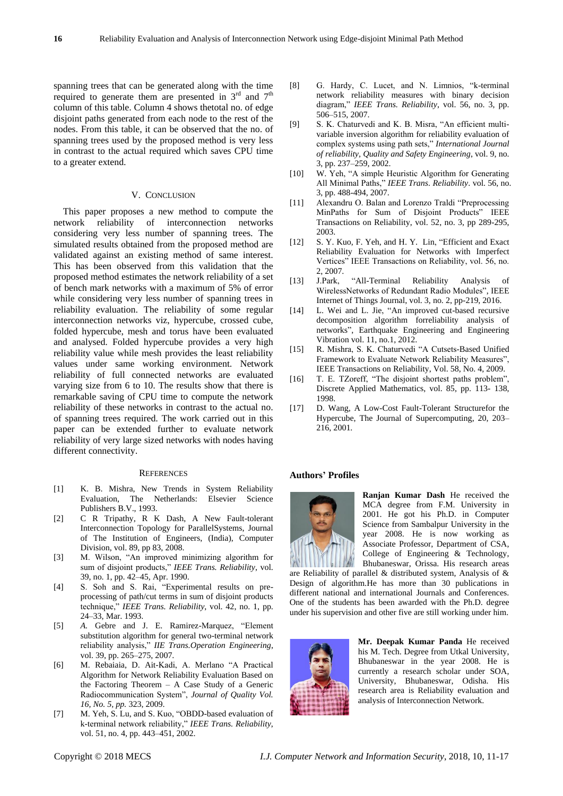spanning trees that can be generated along with the time required to generate them are presented in  $3<sup>rd</sup>$  and  $7<sup>th</sup>$ column of this table. Column 4 shows thetotal no. of edge disjoint paths generated from each node to the rest of the nodes. From this table, it can be observed that the no. of spanning trees used by the proposed method is very less in contrast to the actual required which saves CPU time to a greater extend.

#### V. CONCLUSION

This paper proposes a new method to compute the network reliability of interconnection networks considering very less number of spanning trees. The simulated results obtained from the proposed method are validated against an existing method of same interest. This has been observed from this validation that the proposed method estimates the network reliability of a set of bench mark networks with a maximum of 5% of error while considering very less number of spanning trees in reliability evaluation. The reliability of some regular interconnection networks viz, hypercube, crossed cube, folded hypercube, mesh and torus have been evaluated and analysed. Folded hypercube provides a very high reliability value while mesh provides the least reliability values under same working environment. Network reliability of full connected networks are evaluated varying size from 6 to 10. The results show that there is remarkable saving of CPU time to compute the network reliability of these networks in contrast to the actual no. of spanning trees required. The work carried out in this paper can be extended further to evaluate network reliability of very large sized networks with nodes having different connectivity.

#### **REFERENCES**

- [1] K. B. Mishra, New Trends in System Reliability Evaluation, The Netherlands: Elsevier Science Publishers B.V., 1993.
- [2] C R Tripathy, R K Dash, A New Fault-tolerant Interconnection Topology for ParallelSystems, Journal of The Institution of Engineers, (India), Computer Division, vol. 89, pp 83, 2008.
- [3] M. Wilson, "An improved minimizing algorithm for sum of disjoint products," *IEEE Trans. Reliability*, vol. 39, no. 1, pp. 42–45, Apr. 1990.
- [4] S. Soh and S. Rai, "Experimental results on preprocessing of path/cut terms in sum of disjoint products technique," *IEEE Trans. Reliability*, vol. 42, no. 1, pp. 24–33, Mar. 1993.
- [5] *A.* Gebre and J. E. Ramirez-Marquez, "Element substitution algorithm for general two-terminal network reliability analysis," *IIE Trans.Operation Engineering*, vol. 39, pp. 265–275, 2007.
- [6] M. Rebaiaia, D. Ait-Kadi, A. Merlano "A Practical Algorithm for Network Reliability Evaluation Based on the Factoring Theorem – A Case Study of a Generic Radiocommunication System", *Journal of Quality Vol. 16, No. 5, pp.* 323, 2009.
- [7] M. Yeh, S. Lu, and S. Kuo, "OBDD-based evaluation of k-terminal network reliability," *IEEE Trans. Reliability*, vol. 51, no. 4, pp. 443–451, 2002.
- [8] G. Hardy, C. Lucet, and N. Limnios, "k-terminal network reliability measures with binary decision diagram," *IEEE Trans. Reliability*, vol. 56, no. 3, pp. 506–515, 2007.
- [9] S. K. Chaturvedi and K. B. Misra, "An efficient multivariable inversion algorithm for reliability evaluation of complex systems using path sets," *International Journal of reliability, Quality and Safety Engineering*, vol. 9, no. 3, pp. 237–259, 2002.
- [10] W. Yeh, "A simple Heuristic Algorithm for Generating All Minimal Paths," *IEEE Trans. Reliability*. vol. 56, no. 3, pp. 488-494, 2007.
- [11] Alexandru O. Balan and Lorenzo Traldi "Preprocessing MinPaths for Sum of Disjoint Products" IEEE Transactions on Reliability, vol. 52, no. 3, pp 289-295, 2003.
- [12] S. Y. Kuo, F. Yeh, and H. Y. Lin, "Efficient and Exact Reliability Evaluation for Networks with Imperfect Vertices" IEEE Transactions on Reliability, vol. 56, no. 2, 2007.
- [13] J.Park, "All-Terminal Reliability Analysis of WirelessNetworks of Redundant Radio Modules", IEEE Internet of Things Journal, vol. 3, no. 2, pp-219, 2016.
- [14] L. Wei and L. Jie, "An improved cut-based recursive decomposition algorithm forreliability analysis of networks", Earthquake Engineering and Engineering Vibration vol. 11, no.1, 2012.
- [15] R. Mishra, S. K. Chaturvedi "A Cutsets-Based Unified Framework to Evaluate Network Reliability Measures", IEEE Transactions on Reliability, Vol. 58, No. 4, 2009.
- [16] T. E. TZoreff, "The disjoint shortest paths problem", Discrete Applied Mathematics, vol. 85, pp. 113- 138, 1998.
- [17] D. Wang, A Low-Cost Fault-Tolerant Structurefor the Hypercube, The Journal of Supercomputing, 20, 203– 216, 2001.

#### **Authors' Profiles**



**Ranjan Kumar Dash** He received the MCA degree from F.M. University in 2001. He got his Ph.D. in Computer Science from Sambalpur University in the year 2008. He is now working as Associate Professor, Department of CSA, College of Engineering & Technology, Bhubaneswar, Orissa. His research areas

are Reliability of parallel & distributed system, Analysis of & Design of algorithm.He has more than 30 publications in different national and international Journals and Conferences. One of the students has been awarded with the Ph.D. degree under his supervision and other five are still working under him.



**Mr. Deepak Kumar Panda** He received his M. Tech. Degree from Utkal University, Bhubaneswar in the year 2008. He is currently a research scholar under SOA, University, Bhubaneswar, Odisha. His research area is Reliability evaluation and analysis of Interconnection Network.